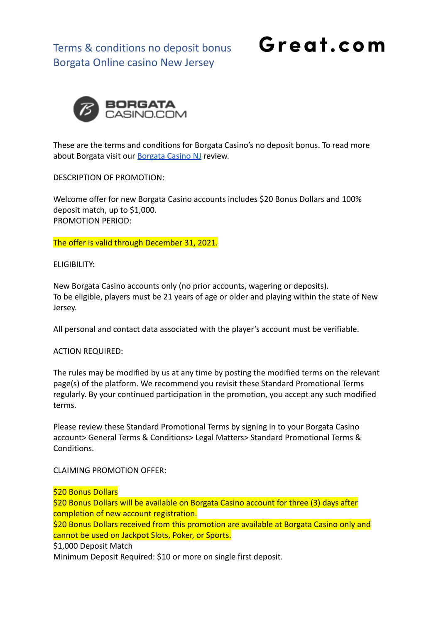Great.com



These are the terms and conditions for Borgata Casino's no deposit bonus. To read more about Borgata visit our [Borgata Casino NJ](https://great.com/en-us/online-casino/borgata-online-casino-nj/) review.

DESCRIPTION OF PROMOTION:

Welcome offer for new Borgata Casino accounts includes \$20 Bonus Dollars and 100% deposit match, up to \$1,000. PROMOTION PERIOD:

The offer is valid through December 31, 2021.

ELIGIBILITY:

New Borgata Casino accounts only (no prior accounts, wagering or deposits). To be eligible, players must be 21 years of age or older and playing within the state of New Jersey.

All personal and contact data associated with the player's account must be verifiable.

#### ACTION REQUIRED:

The rules may be modified by us at any time by posting the modified terms on the relevant page(s) of the platform. We recommend you revisit these Standard Promotional Terms regularly. By your continued participation in the promotion, you accept any such modified terms.

Please review these Standard Promotional Terms by signing in to your Borgata Casino account> General Terms & Conditions> Legal Matters> Standard Promotional Terms & Conditions.

CLAIMING PROMOTION OFFER:

#### \$20 Bonus Dollars

\$20 Bonus Dollars will be available on Borgata Casino account for three (3) days after completion of new account registration.

\$20 Bonus Dollars received from this promotion are available at Borgata Casino only and cannot be used on Jackpot Slots, Poker, or Sports.

\$1,000 Deposit Match

Minimum Deposit Required: \$10 or more on single first deposit.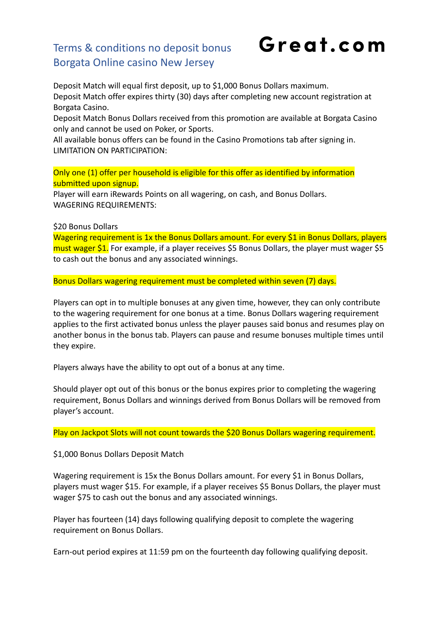Great.com

Deposit Match will equal first deposit, up to \$1,000 Bonus Dollars maximum. Deposit Match offer expires thirty (30) days after completing new account registration at Borgata Casino.

Deposit Match Bonus Dollars received from this promotion are available at Borgata Casino only and cannot be used on Poker, or Sports.

All available bonus offers can be found in the Casino Promotions tab after signing in. LIMITATION ON PARTICIPATION:

Only one (1) offer per household is eligible for this offer as identified by information submitted upon signup.

Player will earn iRewards Points on all wagering, on cash, and Bonus Dollars. WAGERING REQUIREMENTS:

\$20 Bonus Dollars

Wagering requirement is 1x the Bonus Dollars amount. For every \$1 in Bonus Dollars, players must wager \$1. For example, if a player receives \$5 Bonus Dollars, the player must wager \$5 to cash out the bonus and any associated winnings.

Bonus Dollars wagering requirement must be completed within seven (7) days.

Players can opt in to multiple bonuses at any given time, however, they can only contribute to the wagering requirement for one bonus at a time. Bonus Dollars wagering requirement applies to the first activated bonus unless the player pauses said bonus and resumes play on another bonus in the bonus tab. Players can pause and resume bonuses multiple times until they expire.

Players always have the ability to opt out of a bonus at any time.

Should player opt out of this bonus or the bonus expires prior to completing the wagering requirement, Bonus Dollars and winnings derived from Bonus Dollars will be removed from player's account.

Play on Jackpot Slots will not count towards the \$20 Bonus Dollars wagering requirement.

\$1,000 Bonus Dollars Deposit Match

Wagering requirement is 15x the Bonus Dollars amount. For every \$1 in Bonus Dollars, players must wager \$15. For example, if a player receives \$5 Bonus Dollars, the player must wager \$75 to cash out the bonus and any associated winnings.

Player has fourteen (14) days following qualifying deposit to complete the wagering requirement on Bonus Dollars.

Earn-out period expires at 11:59 pm on the fourteenth day following qualifying deposit.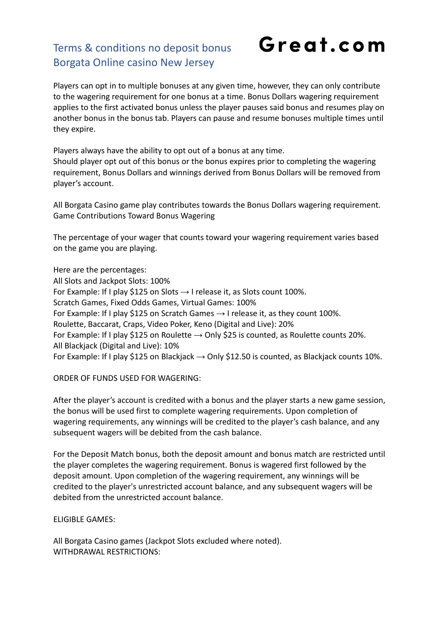# Great.com

Players can opt in to multiple bonuses at any given time, however, they can only contribute to the wagering requirement for one bonus at a time. Bonus Dollars wagering requirement applies to the first activated bonus unless the player pauses said bonus and resumes play on another bonus in the bonus tab. Players can pause and resume bonuses multiple times until they expire.

Players always have the ability to opt out of a bonus at any time. Should player opt out of this bonus or the bonus expires prior to completing the wagering requirement, Bonus Dollars and winnings derived from Bonus Dollars will be removed from player's account.

All Borgata Casino game play contributes towards the Bonus Dollars wagering requirement. Game Contributions Toward Bonus Wagering

The percentage of your wager that counts toward your wagering requirement varies based on the game you are playing.

Here are the percentages: All Slots and Jackpot Slots: 100% For Example: If I play \$125 on Slots  $\rightarrow$  I release it, as Slots count 100%. Scratch Games, Fixed Odds Games, Virtual Games: 100% For Example: If I play \$125 on Scratch Games  $\rightarrow$  I release it, as they count 100%. Roulette, Baccarat, Craps, Video Poker, Keno (Digital and Live): 20% For Example: If I play \$125 on Roulette  $\rightarrow$  Only \$25 is counted, as Roulette counts 20%. All Blackjack (Digital and Live): 10% For Example: If I play \$125 on Blackjack  $\rightarrow$  Only \$12.50 is counted, as Blackjack counts 10%.

#### ORDER OF FUNDS USED FOR WAGERING:

After the player's account is credited with a bonus and the player starts a new game session, the bonus will be used first to complete wagering requirements. Upon completion of wagering requirements, any winnings will be credited to the player's cash balance, and any subsequent wagers will be debited from the cash balance.

For the Deposit Match bonus, both the deposit amount and bonus match are restricted until the player completes the wagering requirement. Bonus is wagered first followed by the deposit amount. Upon completion of the wagering requirement, any winnings will be credited to the player's unrestricted account balance, and any subsequent wagers will be debited from the unrestricted account balance.

#### ELIGIBLE GAMES:

All Borgata Casino games (Jackpot Slots excluded where noted). WITHDRAWAL RESTRICTIONS: